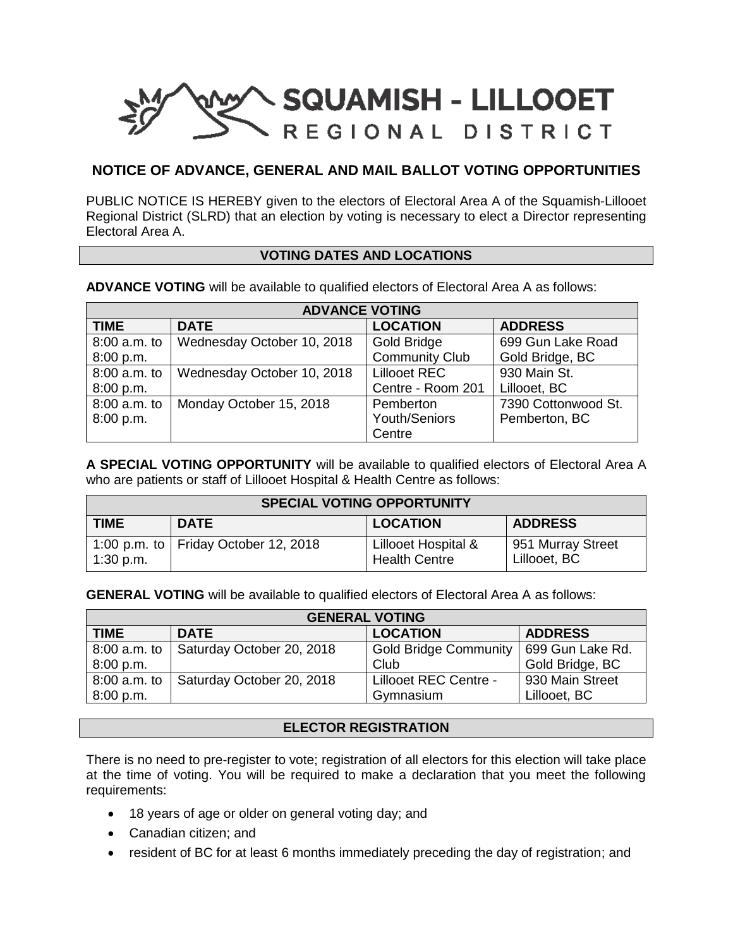

# **NOTICE OF ADVANCE, GENERAL AND MAIL BALLOT VOTING OPPORTUNITIES**

PUBLIC NOTICE IS HEREBY given to the electors of Electoral Area A of the Squamish-Lillooet Regional District (SLRD) that an election by voting is necessary to elect a Director representing Electoral Area A.

#### **VOTING DATES AND LOCATIONS**

**ADVANCE VOTING** will be available to qualified electors of Electoral Area A as follows:

| <b>ADVANCE VOTING</b> |                            |                       |                     |  |  |  |
|-----------------------|----------------------------|-----------------------|---------------------|--|--|--|
| <b>TIME</b>           | <b>DATE</b>                | <b>LOCATION</b>       | <b>ADDRESS</b>      |  |  |  |
| 8:00 a.m. to          | Wednesday October 10, 2018 | Gold Bridge           | 699 Gun Lake Road   |  |  |  |
| 8:00 p.m.             |                            | <b>Community Club</b> | Gold Bridge, BC     |  |  |  |
| 8:00 a.m. to          | Wednesday October 10, 2018 | Lillooet REC          | 930 Main St.        |  |  |  |
| 8:00 p.m.             |                            | Centre - Room 201     | Lillooet, BC        |  |  |  |
| 8:00 a.m. to          | Monday October 15, 2018    | Pemberton             | 7390 Cottonwood St. |  |  |  |
| 8:00 p.m.             |                            | Youth/Seniors         | Pemberton, BC       |  |  |  |
|                       |                            | Centre                |                     |  |  |  |

**A SPECIAL VOTING OPPORTUNITY** will be available to qualified electors of Electoral Area A who are patients or staff of Lillooet Hospital & Health Centre as follows:

| <b>SPECIAL VOTING OPPORTUNITY</b> |                                      |                                             |                                   |  |  |
|-----------------------------------|--------------------------------------|---------------------------------------------|-----------------------------------|--|--|
| <b>TIME</b>                       | <b>DATE</b>                          | <b>LOCATION</b>                             | <b>ADDRESS</b>                    |  |  |
| $1:30$ p.m.                       | 1:00 p.m. to Friday October 12, 2018 | Lillooet Hospital &<br><b>Health Centre</b> | 951 Murray Street<br>Lillooet, BC |  |  |

**GENERAL VOTING** will be available to qualified electors of Electoral Area A as follows:

| <b>GENERAL VOTING</b> |                           |                              |                  |  |  |
|-----------------------|---------------------------|------------------------------|------------------|--|--|
| <b>TIME</b>           | <b>DATE</b>               | <b>LOCATION</b>              | <b>ADDRESS</b>   |  |  |
| 8:00 a.m. to          | Saturday October 20, 2018 | <b>Gold Bridge Community</b> | 699 Gun Lake Rd. |  |  |
| 8:00 p.m.             |                           | Club                         | Gold Bridge, BC  |  |  |
| 8:00 a.m. to          | Saturday October 20, 2018 | Lillooet REC Centre -        | 930 Main Street  |  |  |
| 8:00 p.m.             |                           | Gymnasium                    | Lillooet, BC     |  |  |

## **ELECTOR REGISTRATION**

There is no need to pre-register to vote; registration of all electors for this election will take place at the time of voting. You will be required to make a declaration that you meet the following requirements:

- 18 years of age or older on general voting day; and
- Canadian citizen; and
- resident of BC for at least 6 months immediately preceding the day of registration; and